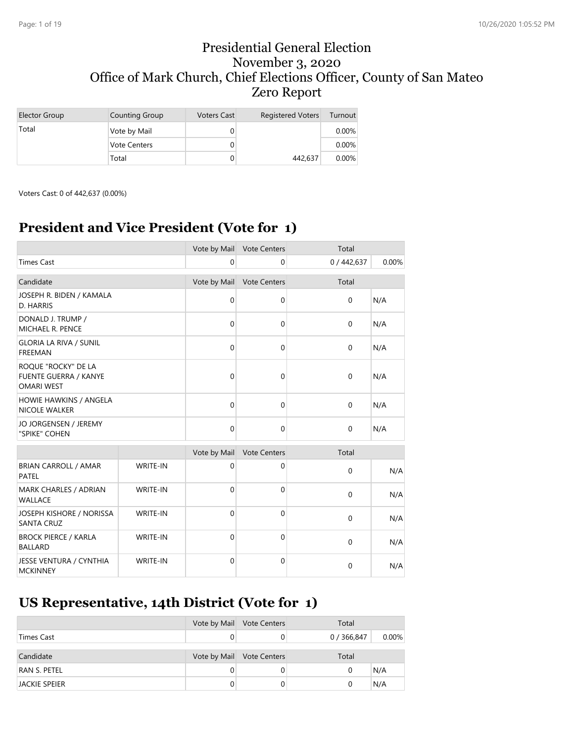### Presidential General Election November 3, 2020 Office of Mark Church, Chief Elections Officer, County of San Mateo Zero Report

| Elector Group | Counting Group      | <b>Voters Cast</b> | <b>Registered Voters</b> | Turnout  |
|---------------|---------------------|--------------------|--------------------------|----------|
| Total         | Vote by Mail        |                    |                          | $0.00\%$ |
|               | <b>Vote Centers</b> |                    |                          | $0.00\%$ |
|               | Total               |                    | 442,637                  | $0.00\%$ |

Voters Cast: 0 of 442,637 (0.00%)

# **President and Vice President (Vote for 1)**

|                                                                          |                 |              | Vote by Mail Vote Centers | Total       |       |
|--------------------------------------------------------------------------|-----------------|--------------|---------------------------|-------------|-------|
| <b>Times Cast</b>                                                        |                 | $\mathbf 0$  | 0                         | 0/442,637   | 0.00% |
| Candidate                                                                |                 | Vote by Mail | <b>Vote Centers</b>       | Total       |       |
| JOSEPH R. BIDEN / KAMALA<br>D. HARRIS                                    |                 | $\mathbf 0$  | 0                         | $\Omega$    | N/A   |
| DONALD J. TRUMP /<br><b>MICHAEL R. PENCE</b>                             |                 | $\mathbf 0$  | $\mathbf 0$               | $\mathbf 0$ | N/A   |
| <b>GLORIA LA RIVA / SUNIL</b><br><b>FREEMAN</b>                          |                 | $\mathbf{0}$ | 0                         | $\Omega$    | N/A   |
| ROQUE "ROCKY" DE LA<br><b>FUENTE GUERRA / KANYE</b><br><b>OMARI WEST</b> |                 | $\mathbf{0}$ | $\Omega$                  | $\mathbf 0$ | N/A   |
| HOWIE HAWKINS / ANGELA<br><b>NICOLE WALKER</b>                           |                 | $\mathbf{0}$ | $\mathbf 0$               | $\mathbf 0$ | N/A   |
| JO JORGENSEN / JEREMY<br>"SPIKE" COHEN                                   |                 | $\mathbf 0$  | 0                         | $\mathbf 0$ | N/A   |
|                                                                          |                 | Vote by Mail | Vote Centers              | Total       |       |
| <b>BRIAN CARROLL / AMAR</b><br>PATEL                                     | WRITE-IN        | $\mathbf 0$  | 0                         | $\Omega$    | N/A   |
| MARK CHARLES / ADRIAN<br><b>WALLACE</b>                                  | <b>WRITE-IN</b> | $\mathbf 0$  | $\mathbf 0$               | $\mathbf 0$ | N/A   |
| JOSEPH KISHORE / NORISSA<br><b>SANTA CRUZ</b>                            | WRITE-IN        | $\mathbf{0}$ | $\mathbf{0}$              | $\Omega$    | N/A   |
| <b>BROCK PIERCE / KARLA</b><br><b>BALLARD</b>                            | <b>WRITE-IN</b> | $\mathbf 0$  | $\mathbf 0$               | $\Omega$    | N/A   |
| JESSE VENTURA / CYNTHIA<br><b>MCKINNEY</b>                               | <b>WRITE-IN</b> | $\mathbf 0$  | $\mathbf 0$               | 0           | N/A   |

# **US Representative, 14th District (Vote for 1)**

|                      |   | Vote by Mail Vote Centers | Total       |          |
|----------------------|---|---------------------------|-------------|----------|
| Times Cast           |   |                           | 0 / 366,847 | $0.00\%$ |
|                      |   |                           |             |          |
| Candidate            |   | Vote by Mail Vote Centers | Total       |          |
| RAN S. PETEL         |   |                           | 0           | N/A      |
| <b>JACKIE SPEIER</b> | 0 | 0                         | 0           | N/A      |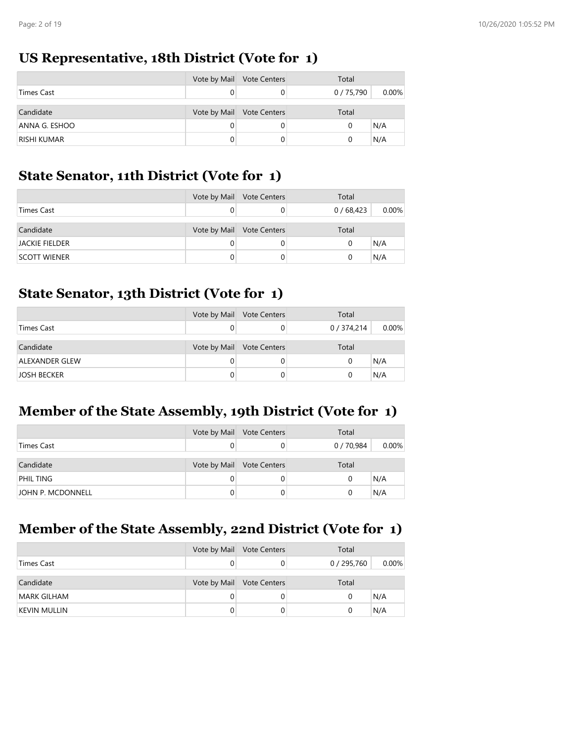### **US Representative, 18th District (Vote for 1)**

|                    | Vote by Mail | <b>Vote Centers</b>       | Total      |          |
|--------------------|--------------|---------------------------|------------|----------|
| <b>Times Cast</b>  |              | 0                         | 0 / 75,790 | $0.00\%$ |
| Candidate          |              | Vote by Mail Vote Centers | Total      |          |
| ANNA G. ESHOO      |              | 0                         | 0          | N/A      |
| <b>RISHI KUMAR</b> |              |                           | 0          | N/A      |

#### **State Senator, 11th District (Vote for 1)**

|                       | Vote by Mail Vote Centers | Total    |          |
|-----------------------|---------------------------|----------|----------|
| <b>Times Cast</b>     |                           | 0/68,423 | $0.00\%$ |
| Candidate             | Vote by Mail Vote Centers | Total    |          |
| <b>JACKIE FIELDER</b> |                           | 0        | N/A      |
| SCOTT WIENER          |                           | 0        | N/A      |

#### **State Senator, 13th District (Vote for 1)**

|                    | Vote by Mail | <b>Vote Centers</b>       | Total       |          |
|--------------------|--------------|---------------------------|-------------|----------|
| <b>Times Cast</b>  |              |                           | 0 / 374,214 | $0.00\%$ |
|                    |              |                           |             |          |
| Candidate          |              | Vote by Mail Vote Centers | Total       |          |
| ALEXANDER GLEW     |              |                           | 0           | N/A      |
| <b>JOSH BECKER</b> |              |                           | O           | N/A      |

# **Member of the State Assembly, 19th District (Vote for 1)**

|                   | Vote by Mail Vote Centers | Total      |          |
|-------------------|---------------------------|------------|----------|
| Times Cast        |                           | 0 / 70,984 | $0.00\%$ |
|                   |                           |            |          |
| Candidate         | Vote by Mail Vote Centers | Total      |          |
| <b>PHIL TING</b>  |                           | 0          | N/A      |
| JOHN P. MCDONNELL |                           | 0          | N/A      |

### **Member of the State Assembly, 22nd District (Vote for 1)**

|                     | Vote by Mail Vote Centers | Total     |       |
|---------------------|---------------------------|-----------|-------|
| Times Cast          |                           | 0/295,760 | 0.00% |
|                     |                           |           |       |
| Candidate           | Vote by Mail Vote Centers | Total     |       |
| <b>MARK GILHAM</b>  |                           | 0         | N/A   |
| <b>KEVIN MULLIN</b> |                           |           | N/A   |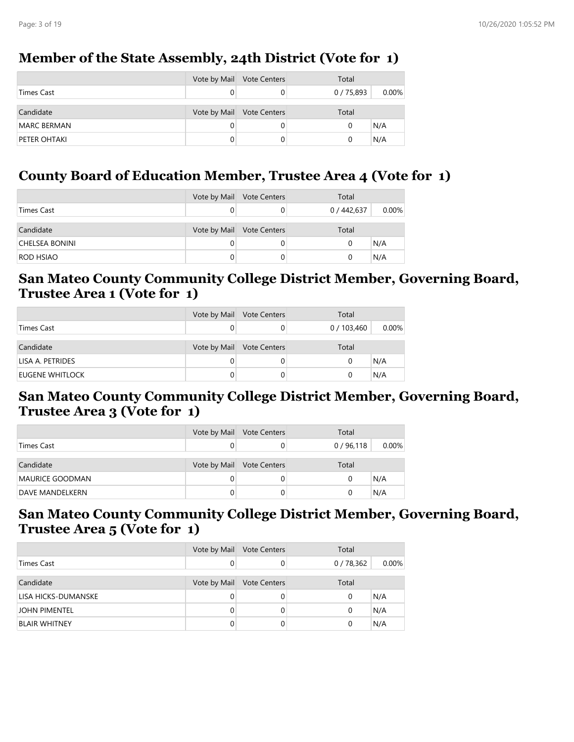### **Member of the State Assembly, 24th District (Vote for 1)**

|                    | Vote by Mail Vote Centers | Total    |          |
|--------------------|---------------------------|----------|----------|
| Times Cast         |                           | 0/75,893 | $0.00\%$ |
| Candidate          | Vote by Mail Vote Centers | Total    |          |
| <b>MARC BERMAN</b> |                           | 0        | N/A      |
| PETER OHTAKI       |                           | 0        | N/A      |

### **County Board of Education Member, Trustee Area 4 (Vote for 1)**

|                  | Vote by Mail | <b>Vote Centers</b> | Total       |          |
|------------------|--------------|---------------------|-------------|----------|
| Times Cast       |              |                     | 0 / 442,637 | $0.00\%$ |
| Candidate        | Vote by Mail | <b>Vote Centers</b> | Total       |          |
| CHELSEA BONINI   |              |                     |             | N/A      |
| <b>ROD HSIAO</b> |              |                     |             | N/A      |

#### **San Mateo County Community College District Member, Governing Board, Trustee Area 1 (Vote for 1)**

|                   | Vote by Mail | <b>Vote Centers</b>       | Total     |          |
|-------------------|--------------|---------------------------|-----------|----------|
| <b>Times Cast</b> |              |                           | 0/103,460 | $0.00\%$ |
| Candidate         |              | Vote by Mail Vote Centers | Total     |          |
| LISA A. PETRIDES  |              |                           | 0         | N/A      |
| EUGENE WHITLOCK   |              |                           |           | N/A      |

#### **San Mateo County Community College District Member, Governing Board, Trustee Area 3 (Vote for 1)**

|                 | Vote by Mail Vote Centers | Total    |          |
|-----------------|---------------------------|----------|----------|
| Times Cast      |                           | 0/96,118 | $0.00\%$ |
| Candidate       | Vote by Mail Vote Centers | Total    |          |
| MAURICE GOODMAN |                           |          | N/A      |
| DAVE MANDELKERN |                           |          | N/A      |

#### **San Mateo County Community College District Member, Governing Board, Trustee Area 5 (Vote for 1)**

|                      | Vote by Mail | <b>Vote Centers</b> | Total    |          |
|----------------------|--------------|---------------------|----------|----------|
| <b>Times Cast</b>    | 0            |                     | 0/78,362 | $0.00\%$ |
| Candidate            | Vote by Mail | <b>Vote Centers</b> | Total    |          |
| LISA HICKS-DUMANSKE  | 0            |                     | 0        | N/A      |
| JOHN PIMENTEL        | 0            |                     | 0        | N/A      |
| <b>BLAIR WHITNEY</b> | 0            |                     |          | N/A      |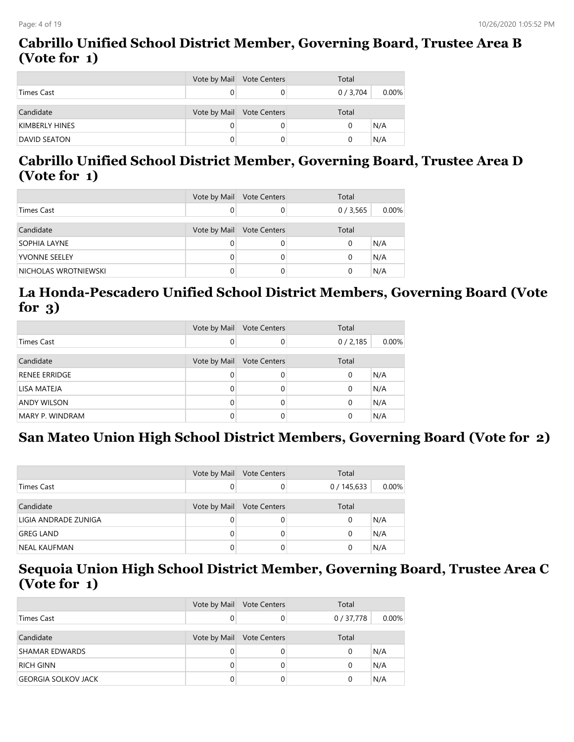#### **Cabrillo Unified School District Member, Governing Board, Trustee Area B (Vote for 1)**

|                     | Vote by Mail Vote Centers | Total     |          |
|---------------------|---------------------------|-----------|----------|
| Times Cast          |                           | 0 / 3,704 | $0.00\%$ |
| Candidate           | Vote by Mail Vote Centers | Total     |          |
| KIMBERLY HINES      |                           | 0         | N/A      |
| <b>DAVID SEATON</b> |                           | 0         | N/A      |

## **Cabrillo Unified School District Member, Governing Board, Trustee Area D (Vote for 1)**

|                      | Vote by Mail Vote Centers | Total   |       |
|----------------------|---------------------------|---------|-------|
| Times Cast           |                           | 0/3,565 | 0.00% |
| Candidate            | Vote by Mail Vote Centers | Total   |       |
| SOPHIA LAYNE         |                           | 0       | N/A   |
| <b>YVONNE SEELEY</b> |                           | 0       | N/A   |
| NICHOLAS WROTNIEWSKI |                           |         | N/A   |

# **La Honda-Pescadero Unified School District Members, Governing Board (Vote for 3)**

|                      | Vote by Mail | <b>Vote Centers</b> | Total   |       |
|----------------------|--------------|---------------------|---------|-------|
| <b>Times Cast</b>    | 0            |                     | 0/2,185 | 0.00% |
| Candidate            | Vote by Mail | <b>Vote Centers</b> | Total   |       |
| <b>RENEE ERRIDGE</b> | 0            |                     | 0       | N/A   |
| LISA MATEJA          | 0            |                     | 0       | N/A   |
| <b>ANDY WILSON</b>   | 0            |                     | 0       | N/A   |
| MARY P. WINDRAM      |              |                     | 0       | N/A   |

# **San Mateo Union High School District Members, Governing Board (Vote for 2)**

|                      | Vote by Mail | <b>Vote Centers</b> | Total     |       |
|----------------------|--------------|---------------------|-----------|-------|
| Times Cast           |              |                     | 0/145,633 | 0.00% |
| Candidate            | Vote by Mail | <b>Vote Centers</b> | Total     |       |
| LIGIA ANDRADE ZUNIGA |              |                     | 0         | N/A   |
| <b>GREG LAND</b>     |              |                     | 0         | N/A   |
| NEAL KAUFMAN         |              |                     | 0         | N/A   |

#### **Sequoia Union High School District Member, Governing Board, Trustee Area C (Vote for 1)**

|                            | Vote by Mail | <b>Vote Centers</b> | Total    |          |
|----------------------------|--------------|---------------------|----------|----------|
| <b>Times Cast</b>          |              | 0                   | 0/37,778 | $0.00\%$ |
|                            |              |                     |          |          |
| Candidate                  | Vote by Mail | <b>Vote Centers</b> | Total    |          |
| <b>SHAMAR EDWARDS</b>      |              | $\Omega$            | 0        | N/A      |
| <b>RICH GINN</b>           |              | 0                   | 0        | N/A      |
| <b>GEORGIA SOLKOV JACK</b> |              | 0                   | 0        | N/A      |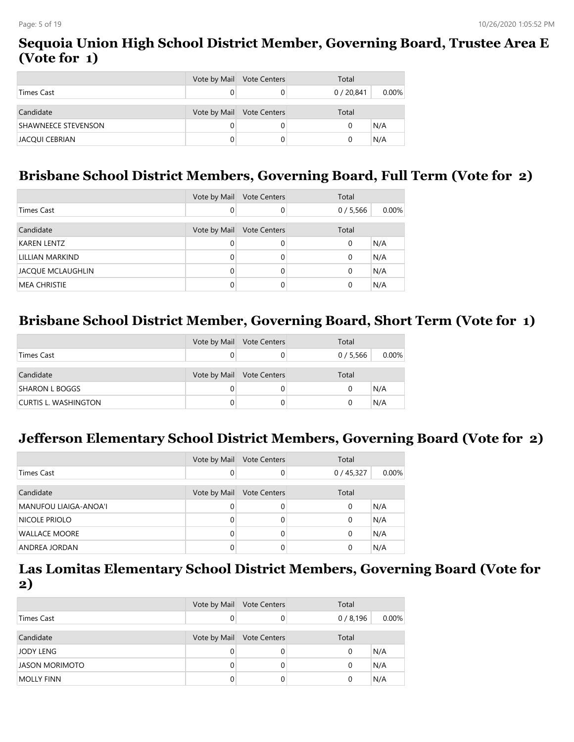#### **Sequoia Union High School District Member, Governing Board, Trustee Area E (Vote for 1)**

|                            | Vote by Mail Vote Centers | Total    |          |
|----------------------------|---------------------------|----------|----------|
| Times Cast                 |                           | 0/20,841 | $0.00\%$ |
| Candidate                  | Vote by Mail Vote Centers | Total    |          |
| <b>SHAWNEECE STEVENSON</b> |                           |          | N/A      |
| JACQUI CEBRIAN             |                           |          | N/A      |

### **Brisbane School District Members, Governing Board, Full Term (Vote for 2)**

|                          | Vote by Mail | <b>Vote Centers</b> | Total    |          |
|--------------------------|--------------|---------------------|----------|----------|
| Times Cast               | 0            |                     | 0/5,566  | $0.00\%$ |
| Candidate                | Vote by Mail | <b>Vote Centers</b> | Total    |          |
| <b>KAREN LENTZ</b>       | 0            |                     | 0        | N/A      |
| LILLIAN MARKIND          | 0            |                     | 0        | N/A      |
| <b>JACQUE MCLAUGHLIN</b> | 0            |                     | 0        | N/A      |
| <b>MEA CHRISTIE</b>      |              |                     | $\Omega$ | N/A      |

### **Brisbane School District Member, Governing Board, Short Term (Vote for 1)**

|                       | Vote by Mail Vote Centers | Total   |          |
|-----------------------|---------------------------|---------|----------|
| Times Cast            |                           | 0/5,566 | $0.00\%$ |
| Candidate             | Vote by Mail Vote Centers | Total   |          |
| <b>SHARON L BOGGS</b> |                           | 0       | N/A      |
| CURTIS L. WASHINGTON  |                           | 0       | N/A      |

### **Jefferson Elementary School District Members, Governing Board (Vote for 2)**

|                       | Vote by Mail | <b>Vote Centers</b> | Total    |       |
|-----------------------|--------------|---------------------|----------|-------|
| Times Cast            |              | 0                   | 0/45,327 | 0.00% |
| Candidate             | Vote by Mail | <b>Vote Centers</b> | Total    |       |
| MANUFOU LIAIGA-ANOA'I | 0            | 0                   | $\Omega$ | N/A   |
| <b>NICOLE PRIOLO</b>  | 0            | 0                   | 0        | N/A   |
| <b>WALLACE MOORE</b>  | 0            | 0                   | 0        | N/A   |
| ANDREA JORDAN         |              |                     | 0        | N/A   |

#### **Las Lomitas Elementary School District Members, Governing Board (Vote for 2)**

|                       | Vote by Mail | <b>Vote Centers</b> | Total   |          |
|-----------------------|--------------|---------------------|---------|----------|
| <b>Times Cast</b>     | 0            | 0                   | 0/8,196 | $0.00\%$ |
|                       |              |                     |         |          |
| Candidate             | Vote by Mail | <b>Vote Centers</b> | Total   |          |
| JODY LENG             | 0            | 0                   | 0       | N/A      |
| <b>JASON MORIMOTO</b> | $\Omega$     | 0                   | 0       | N/A      |
| <b>MOLLY FINN</b>     | 0            | 0                   | 0       | N/A      |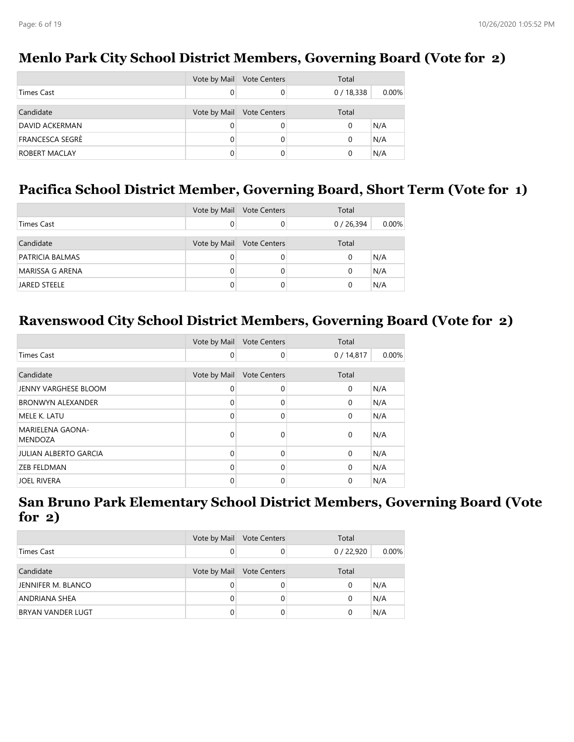|                 | Vote by Mail | <b>Vote Centers</b> | Total    |          |
|-----------------|--------------|---------------------|----------|----------|
| Times Cast      |              | 0                   | 0/18,338 | $0.00\%$ |
| Candidate       | Vote by Mail | <b>Vote Centers</b> | Total    |          |
| DAVID ACKERMAN  | 0            | 0                   |          | N/A      |
| FRANCESCA SEGRÈ |              | 0                   |          | N/A      |
| ROBERT MACLAY   |              | 0                   |          | N/A      |

### **Menlo Park City School District Members, Governing Board (Vote for 2)**

#### **Pacifica School District Member, Governing Board, Short Term (Vote for 1)**

|                        | Vote by Mail | <b>Vote Centers</b>       | Total    |          |
|------------------------|--------------|---------------------------|----------|----------|
| <b>Times Cast</b>      |              |                           | 0/26,394 | $0.00\%$ |
| Candidate              |              | Vote by Mail Vote Centers | Total    |          |
| <b>PATRICIA BALMAS</b> |              |                           | 0        | N/A      |
| <b>MARISSA G ARENA</b> |              |                           | 0        | N/A      |
| <b>JARED STEELE</b>    |              |                           | 0        | N/A      |

#### **Ravenswood City School District Members, Governing Board (Vote for 2)**

|                                           | Vote by Mail | <b>Vote Centers</b> | Total       |       |
|-------------------------------------------|--------------|---------------------|-------------|-------|
| Times Cast                                | $\mathbf 0$  | 0                   | 0/14,817    | 0.00% |
| Candidate                                 | Vote by Mail | <b>Vote Centers</b> | Total       |       |
| JENNY VARGHESE BLOOM                      | $\Omega$     | 0                   | $\mathbf 0$ | N/A   |
| <b>BRONWYN ALEXANDER</b>                  | $\Omega$     | 0                   | 0           | N/A   |
| MELE K. LATU                              | $\Omega$     | 0                   | $\mathbf 0$ | N/A   |
| <b>MARIELENA GAONA-</b><br><b>MENDOZA</b> | $\Omega$     | 0                   | $\Omega$    | N/A   |
| <b>JULIAN ALBERTO GARCIA</b>              | $\Omega$     | $\Omega$            | $\Omega$    | N/A   |
| <b>ZEB FELDMAN</b>                        | $\Omega$     | 0                   | $\Omega$    | N/A   |
| <b>JOEL RIVERA</b>                        | $\Omega$     | 0                   | 0           | N/A   |

### **San Bruno Park Elementary School District Members, Governing Board (Vote for 2)**

|                          | Vote by Mail | <b>Vote Centers</b> | Total    |          |
|--------------------------|--------------|---------------------|----------|----------|
| Times Cast               | 0            |                     | 0/22,920 | $0.00\%$ |
| Candidate                | Vote by Mail | <b>Vote Centers</b> | Total    |          |
| JENNIFER M. BLANCO       | 0            |                     | 0        | N/A      |
| ANDRIANA SHEA            | 0            |                     | 0        | N/A      |
| <b>BRYAN VANDER LUGT</b> | 0            |                     | 0        | N/A      |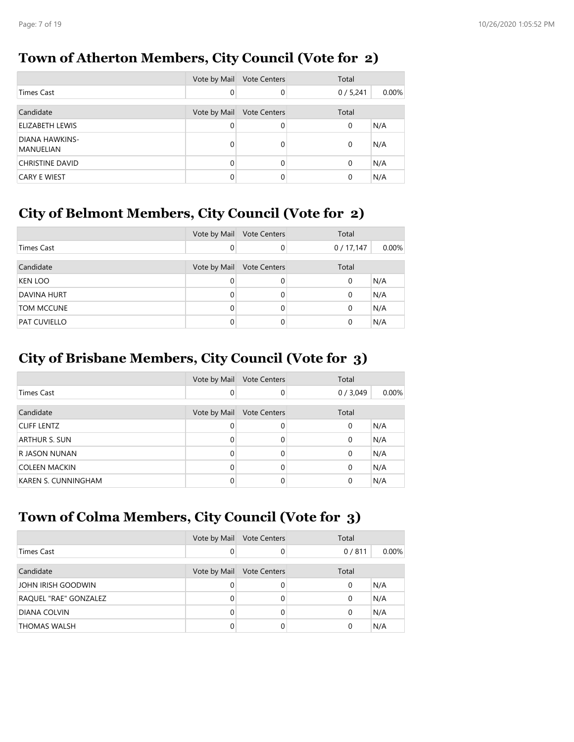### **Town of Atherton Members, City Council (Vote for 2)**

|                             | Vote by Mail | <b>Vote Centers</b> | Total   |       |
|-----------------------------|--------------|---------------------|---------|-------|
| Times Cast                  | 0            | $\Omega$            | 0/5,241 | 0.00% |
|                             |              |                     |         |       |
| Candidate                   | Vote by Mail | <b>Vote Centers</b> | Total   |       |
| ELIZABETH LEWIS             | 0            | 0                   | 0       | N/A   |
| DIANA HAWKINS-<br>MANUELIAN | 0            | 0                   | 0       | N/A   |
| <b>CHRISTINE DAVID</b>      | 0            | 0                   | 0       | N/A   |
| <b>CARY E WIEST</b>         |              |                     | 0       | N/A   |

# **City of Belmont Members, City Council (Vote for 2)**

|                     | Vote by Mail | <b>Vote Centers</b> | Total    |       |
|---------------------|--------------|---------------------|----------|-------|
| Times Cast          | 0            | $\mathbf 0$         | 0/17,147 | 0.00% |
|                     |              |                     |          |       |
| Candidate           | Vote by Mail | <b>Vote Centers</b> | Total    |       |
| <b>KEN LOO</b>      | 0            | $\Omega$            | 0        | N/A   |
| <b>DAVINA HURT</b>  | 0            | $\Omega$            | 0        | N/A   |
| TOM MCCUNE          | 0            | $\Omega$            | 0        | N/A   |
| <b>PAT CUVIELLO</b> | 0            | $\Omega$            | 0        | N/A   |

# **City of Brisbane Members, City Council (Vote for 3)**

|                     | Vote by Mail | <b>Vote Centers</b> | Total   |          |
|---------------------|--------------|---------------------|---------|----------|
| Times Cast          | 0            | 0                   | 0/3,049 | $0.00\%$ |
|                     |              |                     |         |          |
| Candidate           | Vote by Mail | <b>Vote Centers</b> | Total   |          |
| <b>CLIFF LENTZ</b>  | 0            | 0                   | 0       | N/A      |
| ARTHUR S. SUN       | 0            | 0                   | 0       | N/A      |
| R JASON NUNAN       | 0            | 0                   | 0       | N/A      |
| COLEEN MACKIN       | O            | 0                   | 0       | N/A      |
| KAREN S. CUNNINGHAM |              | 0                   | 0       | N/A      |

# **Town of Colma Members, City Council (Vote for 3)**

|                       | Vote by Mail | <b>Vote Centers</b> | Total    |          |
|-----------------------|--------------|---------------------|----------|----------|
| Times Cast            | 0            | 0                   | 0/811    | $0.00\%$ |
|                       |              |                     |          |          |
| Candidate             | Vote by Mail | <b>Vote Centers</b> | Total    |          |
| JOHN IRISH GOODWIN    | 0            | 0                   | $\Omega$ | N/A      |
| RAQUEL "RAE" GONZALEZ | 0            | 0                   | $\Omega$ | N/A      |
| <b>DIANA COLVIN</b>   | 0            | 0                   | $\Omega$ | N/A      |
| <b>THOMAS WALSH</b>   |              |                     | $\Omega$ | N/A      |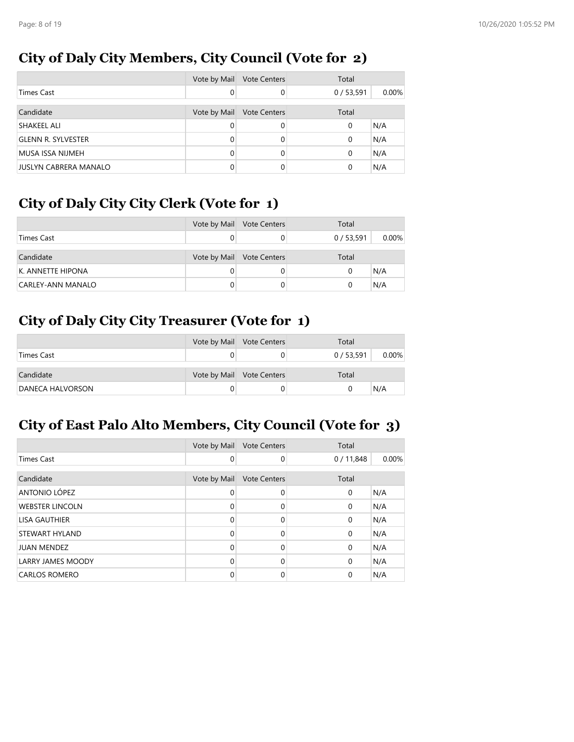# **City of Daly City Members, City Council (Vote for 2)**

|                              | Vote by Mail | <b>Vote Centers</b> | Total    |          |
|------------------------------|--------------|---------------------|----------|----------|
| Times Cast                   | 0            | 0                   | 0/53,591 | $0.00\%$ |
|                              |              |                     |          |          |
| Candidate                    | Vote by Mail | <b>Vote Centers</b> | Total    |          |
| SHAKEEL ALI                  | 0            | 0                   | 0        | N/A      |
| <b>GLENN R. SYLVESTER</b>    | 0            | 0                   | 0        | N/A      |
| MUSA ISSA NIJMEH             | U            | 0                   | 0        | N/A      |
| <b>JUSLYN CABRERA MANALO</b> |              |                     | 0        | N/A      |

# **City of Daly City City Clerk (Vote for 1)**

|                   | Vote by Mail Vote Centers | Total    |          |
|-------------------|---------------------------|----------|----------|
| Times Cast        |                           | 0/53,591 | $0.00\%$ |
|                   |                           |          |          |
| Candidate         | Vote by Mail Vote Centers | Total    |          |
| K. ANNETTE HIPONA |                           | 0        | N/A      |
| CARLEY-ANN MANALO |                           | 0        | N/A      |

# **City of Daly City City Treasurer (Vote for 1)**

|                  | Vote by Mail Vote Centers | Total      |          |
|------------------|---------------------------|------------|----------|
| Times Cast       |                           | 0 / 53,591 | $0.00\%$ |
|                  |                           |            |          |
| Candidate        | Vote by Mail Vote Centers | Total      |          |
| DANECA HALVORSON |                           |            | N/A      |

# **City of East Palo Alto Members, City Council (Vote for 3)**

|                          | Vote by Mail | <b>Vote Centers</b> | Total       |       |
|--------------------------|--------------|---------------------|-------------|-------|
| Times Cast               | 0            | $\Omega$            | 0/11,848    | 0.00% |
|                          |              |                     |             |       |
| Candidate                | Vote by Mail | <b>Vote Centers</b> | Total       |       |
| ANTONIO LÓPEZ            | 0            | $\Omega$            | $\mathbf 0$ | N/A   |
| <b>WEBSTER LINCOLN</b>   | $\Omega$     | $\Omega$            | $\mathbf 0$ | N/A   |
| <b>LISA GAUTHIER</b>     | 0            | $\Omega$            | $\mathbf 0$ | N/A   |
| STEWART HYLAND           | 0            | $\Omega$            | $\mathbf 0$ | N/A   |
| <b>JUAN MENDEZ</b>       | $\Omega$     | $\Omega$            | $\Omega$    | N/A   |
| <b>LARRY JAMES MOODY</b> | 0            | $\Omega$            | $\Omega$    | N/A   |
| <b>CARLOS ROMERO</b>     | $\Omega$     | 0                   | 0           | N/A   |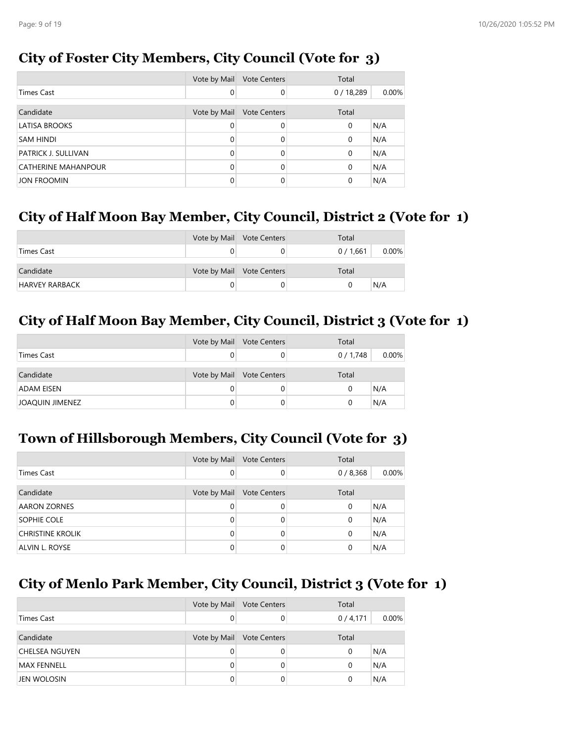# **City of Foster City Members, City Council (Vote for 3)**

|                            | Vote by Mail | <b>Vote Centers</b> | Total    |       |
|----------------------------|--------------|---------------------|----------|-------|
| <b>Times Cast</b>          | 0            | $\Omega$            | 0/18,289 | 0.00% |
| Candidate                  | Vote by Mail | <b>Vote Centers</b> | Total    |       |
| <b>LATISA BROOKS</b>       | 0            | $\Omega$            | 0        | N/A   |
| <b>SAM HINDI</b>           | $\Omega$     | $\Omega$            | 0        | N/A   |
| PATRICK J. SULLIVAN        | $\Omega$     | $\Omega$            | 0        | N/A   |
| <b>CATHERINE MAHANPOUR</b> | 0            | 0                   | 0        | N/A   |
| <b>JON FROOMIN</b>         | 0            | 0                   | 0        | N/A   |

#### **City of Half Moon Bay Member, City Council, District 2 (Vote for 1)**

|                       | Vote by Mail Vote Centers | Total   |          |
|-----------------------|---------------------------|---------|----------|
| Times Cast            |                           | 0/1,661 | $0.00\%$ |
| Candidate             | Vote by Mail Vote Centers | Total   |          |
| <b>HARVEY RARBACK</b> |                           |         | N/A      |

# **City of Half Moon Bay Member, City Council, District 3 (Vote for 1)**

|                   | Vote by Mail Vote Centers | Total   |          |
|-------------------|---------------------------|---------|----------|
| Times Cast        |                           | 0/1,748 | $0.00\%$ |
| Candidate         | Vote by Mail Vote Centers | Total   |          |
| <b>ADAM EISEN</b> |                           | 0       | N/A      |
| JOAQUIN JIMENEZ   |                           | 0       | N/A      |

### **Town of Hillsborough Members, City Council (Vote for 3)**

|                     | Vote by Mail | <b>Vote Centers</b> | Total   |          |
|---------------------|--------------|---------------------|---------|----------|
| <b>Times Cast</b>   |              |                     | 0/8,368 | $0.00\%$ |
| Candidate           | Vote by Mail | <b>Vote Centers</b> | Total   |          |
| <b>AARON ZORNES</b> |              | 0                   | 0       | N/A      |
| SOPHIE COLE         |              | 0                   | 0       | N/A      |
| CHRISTINE KROLIK    |              | 0                   | 0       | N/A      |
| ALVIN L. ROYSE      |              |                     | 0       | N/A      |

### **City of Menlo Park Member, City Council, District 3 (Vote for 1)**

|                | Vote by Mail | <b>Vote Centers</b> | Total   |          |
|----------------|--------------|---------------------|---------|----------|
| Times Cast     | 0            |                     | 0/4,171 | $0.00\%$ |
| Candidate      | Vote by Mail | <b>Vote Centers</b> | Total   |          |
| CHELSEA NGUYEN | 0            |                     | 0       | N/A      |
| MAX FENNELL    | 0            |                     | 0       | N/A      |
| JEN WOLOSIN    | 0            |                     | 0       | N/A      |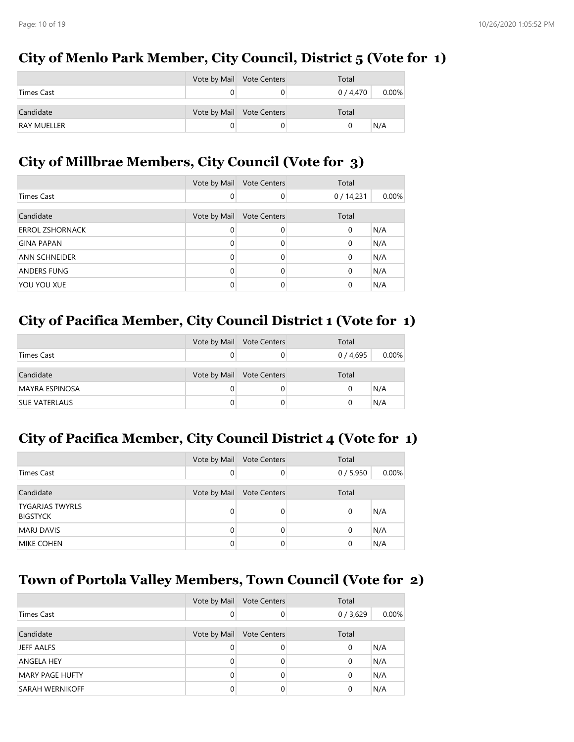# **City of Menlo Park Member, City Council, District 5 (Vote for 1)**

|                    | Vote by Mail Vote Centers | Total     |          |
|--------------------|---------------------------|-----------|----------|
| Times Cast         |                           | 0 / 4,470 | $0.00\%$ |
| Candidate          | Vote by Mail Vote Centers | Total     |          |
| <b>RAY MUELLER</b> |                           |           | N/A      |

## **City of Millbrae Members, City Council (Vote for 3)**

|                        | Vote by Mail | <b>Vote Centers</b> | Total       |          |
|------------------------|--------------|---------------------|-------------|----------|
| <b>Times Cast</b>      | 0            | $\Omega$            | 0/14,231    | $0.00\%$ |
| Candidate              | Vote by Mail | <b>Vote Centers</b> | Total       |          |
| <b>ERROL ZSHORNACK</b> | 0            | $\Omega$            | $\mathbf 0$ | N/A      |
| <b>GINA PAPAN</b>      | 0            | $\Omega$            | $\mathbf 0$ | N/A      |
| ANN SCHNEIDER          | 0            | 0                   | $\mathbf 0$ | N/A      |
| ANDERS FUNG            | 0            | 0                   | $\mathbf 0$ | N/A      |
| YOU YOU XUE            | 0            | 0                   | 0           | N/A      |

# **City of Pacifica Member, City Council District 1 (Vote for 1)**

|                      | Vote by Mail Vote Centers | Total   |          |
|----------------------|---------------------------|---------|----------|
| Times Cast           |                           | 0/4,695 | $0.00\%$ |
| Candidate            | Vote by Mail Vote Centers | Total   |          |
| MAYRA ESPINOSA       |                           |         | N/A      |
| <b>SUE VATERLAUS</b> |                           |         | N/A      |

### **City of Pacifica Member, City Council District 4 (Vote for 1)**

|                                           | Vote by Mail | <b>Vote Centers</b> | Total    |       |
|-------------------------------------------|--------------|---------------------|----------|-------|
| Times Cast                                |              |                     | 0/5,950  | 0.00% |
| Candidate                                 | Vote by Mail | <b>Vote Centers</b> | Total    |       |
| <b>TYGARJAS TWYRLS</b><br><b>BIGSTYCK</b> |              |                     | $\Omega$ | N/A   |
| <b>MARJ DAVIS</b>                         |              |                     | $\Omega$ | N/A   |
| <b>MIKE COHEN</b>                         |              |                     | 0        | N/A   |

# **Town of Portola Valley Members, Town Council (Vote for 2)**

|                        | Vote by Mail | <b>Vote Centers</b> | Total   |          |
|------------------------|--------------|---------------------|---------|----------|
| Times Cast             | 0            |                     | 0/3,629 | $0.00\%$ |
| Candidate              | Vote by Mail | <b>Vote Centers</b> | Total   |          |
| JEFF AALFS             | 0            |                     | 0       | N/A      |
| <b>ANGELA HEY</b>      |              |                     | 0       | N/A      |
| <b>MARY PAGE HUFTY</b> |              |                     | 0       | N/A      |
| <b>SARAH WERNIKOFF</b> |              |                     | 0       | N/A      |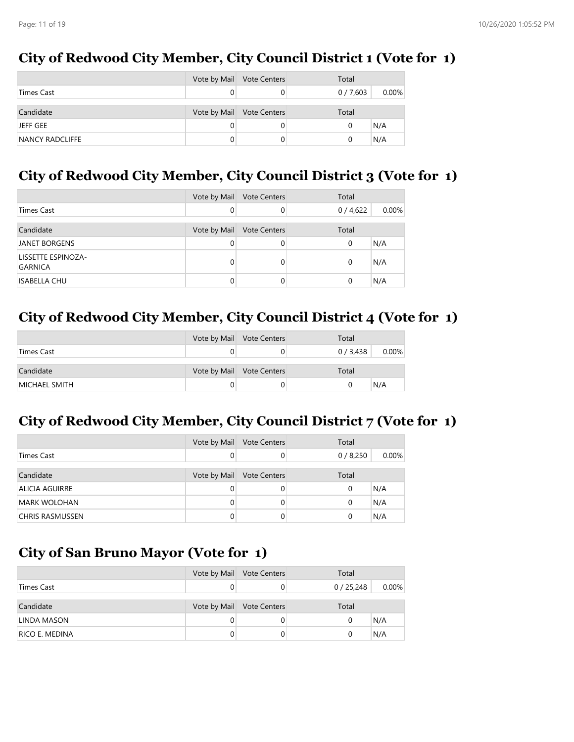### **City of Redwood City Member, City Council District 1 (Vote for 1)**

|                   | Vote by Mail | <b>Vote Centers</b> | Total   |       |
|-------------------|--------------|---------------------|---------|-------|
| <b>Times Cast</b> |              |                     | 0/7,603 | 0.00% |
| Candidate         | Vote by Mail | <b>Vote Centers</b> | Total   |       |
| JEFF GEE          |              |                     | O       | N/A   |
| NANCY RADCLIFFE   |              |                     |         | N/A   |

## **City of Redwood City Member, City Council District 3 (Vote for 1)**

|                                      | Vote by Mail | <b>Vote Centers</b> | Total   |          |
|--------------------------------------|--------------|---------------------|---------|----------|
| <b>Times Cast</b>                    |              |                     | 0/4,622 | $0.00\%$ |
| Candidate                            | Vote by Mail | <b>Vote Centers</b> | Total   |          |
| <b>JANET BORGENS</b>                 |              |                     | 0       | N/A      |
| LISSETTE ESPINOZA-<br><b>GARNICA</b> |              |                     | 0       | N/A      |
| <b>ISABELLA CHU</b>                  |              |                     | 0       | N/A      |

### **City of Redwood City Member, City Council District 4 (Vote for 1)**

|               | Vote by Mail Vote Centers | Total     |          |
|---------------|---------------------------|-----------|----------|
| Times Cast    |                           | 0 / 3,438 | $0.00\%$ |
| Candidate     | Vote by Mail Vote Centers | Total     |          |
| MICHAEL SMITH |                           |           | N/A      |

# **City of Redwood City Member, City Council District 7 (Vote for 1)**

|                       | Vote by Mail | <b>Vote Centers</b> | Total   |          |
|-----------------------|--------------|---------------------|---------|----------|
| <b>Times Cast</b>     |              |                     | 0/8,250 | $0.00\%$ |
| Candidate             | Vote by Mail | <b>Vote Centers</b> | Total   |          |
| <b>ALICIA AGUIRRE</b> |              |                     | 0       | N/A      |
| MARK WOLOHAN          |              | 0                   | 0       | N/A      |
| CHRIS RASMUSSEN       |              |                     | 0       | N/A      |

### **City of San Bruno Mayor (Vote for 1)**

|                | Vote by Mail Vote Centers | Total    |          |
|----------------|---------------------------|----------|----------|
| Times Cast     |                           | 0/25,248 | $0.00\%$ |
|                |                           |          |          |
| Candidate      | Vote by Mail Vote Centers | Total    |          |
| LINDA MASON    |                           | 0        | N/A      |
| RICO E. MEDINA |                           |          | N/A      |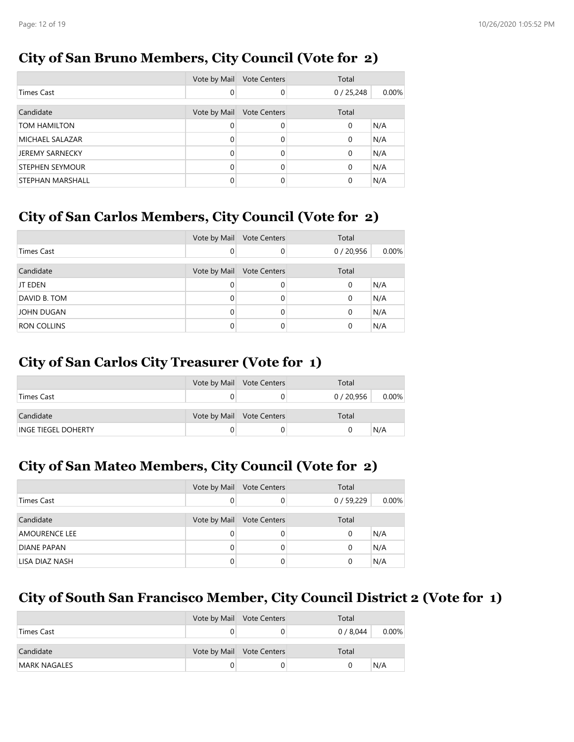# **City of San Bruno Members, City Council (Vote for 2)**

|                        | Vote by Mail | <b>Vote Centers</b> | Total       |       |
|------------------------|--------------|---------------------|-------------|-------|
| Times Cast             | 0            | 0                   | 0/25,248    | 0.00% |
|                        |              |                     |             |       |
| Candidate              | Vote by Mail | <b>Vote Centers</b> | Total       |       |
| TOM HAMILTON           | 0            | 0                   | $\mathbf 0$ | N/A   |
| MICHAEL SALAZAR        | $\Omega$     | $\Omega$            | $\mathbf 0$ | N/A   |
| <b>JEREMY SARNECKY</b> | 0            | $\Omega$            | 0           | N/A   |
| <b>STEPHEN SEYMOUR</b> | $\Omega$     | 0                   | $\mathbf 0$ | N/A   |
| STEPHAN MARSHALL       |              | $\Omega$            | $\Omega$    | N/A   |

# **City of San Carlos Members, City Council (Vote for 2)**

|                    | Vote by Mail | <b>Vote Centers</b> | Total    |       |
|--------------------|--------------|---------------------|----------|-------|
| Times Cast         |              | $\Omega$            | 0/20,956 | 0.00% |
|                    |              |                     |          |       |
| Candidate          | Vote by Mail | <b>Vote Centers</b> | Total    |       |
| JT EDEN            |              |                     | $\Omega$ | N/A   |
| DAVID B. TOM       |              | 0                   | $\Omega$ | N/A   |
| <b>JOHN DUGAN</b>  |              | 0                   | $\Omega$ | N/A   |
| <b>RON COLLINS</b> |              |                     | 0        | N/A   |

# **City of San Carlos City Treasurer (Vote for 1)**

|                            | Vote by Mail Vote Centers | Total    |          |
|----------------------------|---------------------------|----------|----------|
| Times Cast                 |                           | 0/20,956 | $0.00\%$ |
| Candidate                  | Vote by Mail Vote Centers | Total    |          |
| <b>INGE TIEGEL DOHERTY</b> |                           |          | N/A      |

# **City of San Mateo Members, City Council (Vote for 2)**

|                      | Vote by Mail | <b>Vote Centers</b> | Total    |       |
|----------------------|--------------|---------------------|----------|-------|
| <b>Times Cast</b>    |              |                     | 0/59,229 | 0.00% |
| Candidate            | Vote by Mail | <b>Vote Centers</b> | Total    |       |
| <b>AMOURENCE LEE</b> |              |                     | 0        | N/A   |
| <b>DIANE PAPAN</b>   |              |                     | 0        | N/A   |
| LISA DIAZ NASH       |              |                     | 0        | N/A   |

# **City of South San Francisco Member, City Council District 2 (Vote for 1)**

|              | Vote by Mail Vote Centers | Total     |          |
|--------------|---------------------------|-----------|----------|
| Times Cast   |                           | 0 / 8,044 | $0.00\%$ |
| Candidate    | Vote by Mail Vote Centers | Total     |          |
| MARK NAGALES |                           |           | N/A      |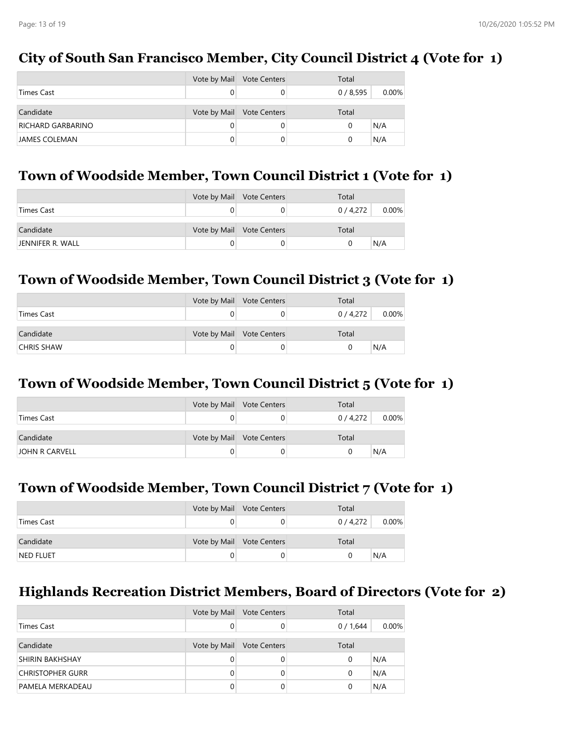### **City of South San Francisco Member, City Council District 4 (Vote for 1)**

|                      | Vote by Mail | <b>Vote Centers</b> | Total   |          |
|----------------------|--------------|---------------------|---------|----------|
| <b>Times Cast</b>    |              |                     | 0/8,595 | $0.00\%$ |
| Candidate            | Vote by Mail | <b>Vote Centers</b> | Total   |          |
| RICHARD GARBARINO    |              |                     |         | N/A      |
| <b>JAMES COLEMAN</b> |              |                     |         | N/A      |

### **Town of Woodside Member, Town Council District 1 (Vote for 1)**

|                  | Vote by Mail Vote Centers | Total     |          |
|------------------|---------------------------|-----------|----------|
| Times Cast       |                           | 0 / 4,272 | $0.00\%$ |
| Candidate        | Vote by Mail Vote Centers | Total     |          |
| JENNIFER R. WALL |                           |           | N/A      |

### **Town of Woodside Member, Town Council District 3 (Vote for 1)**

|                   | Vote by Mail Vote Centers | Total     |          |
|-------------------|---------------------------|-----------|----------|
| Times Cast        |                           | 0 / 4,272 | $0.00\%$ |
| Candidate         | Vote by Mail Vote Centers | Total     |          |
| <b>CHRIS SHAW</b> |                           |           | N/A      |

#### **Town of Woodside Member, Town Council District 5 (Vote for 1)**

|                | Vote by Mail Vote Centers | Total     |          |
|----------------|---------------------------|-----------|----------|
| Times Cast     |                           | 0 / 4,272 | $0.00\%$ |
| Candidate      | Vote by Mail Vote Centers | Total     |          |
| JOHN R CARVELL |                           |           | N/A      |

### **Town of Woodside Member, Town Council District 7 (Vote for 1)**

|            | Vote by Mail Vote Centers | Total   |          |
|------------|---------------------------|---------|----------|
| Times Cast |                           | 0/4,272 | $0.00\%$ |
| Candidate  | Vote by Mail Vote Centers | Total   |          |
| NED FLUET  |                           |         | N/A      |

### **Highlands Recreation District Members, Board of Directors (Vote for 2)**

|                         | Vote by Mail | <b>Vote Centers</b> | Total   |          |
|-------------------------|--------------|---------------------|---------|----------|
| Times Cast              |              |                     | 0/1,644 | $0.00\%$ |
| Candidate               | Vote by Mail | <b>Vote Centers</b> | Total   |          |
| <b>SHIRIN BAKHSHAY</b>  | 0            |                     | 0       | N/A      |
| <b>CHRISTOPHER GURR</b> | 0            |                     | 0       | N/A      |
| PAMELA MERKADEAU        |              |                     |         | N/A      |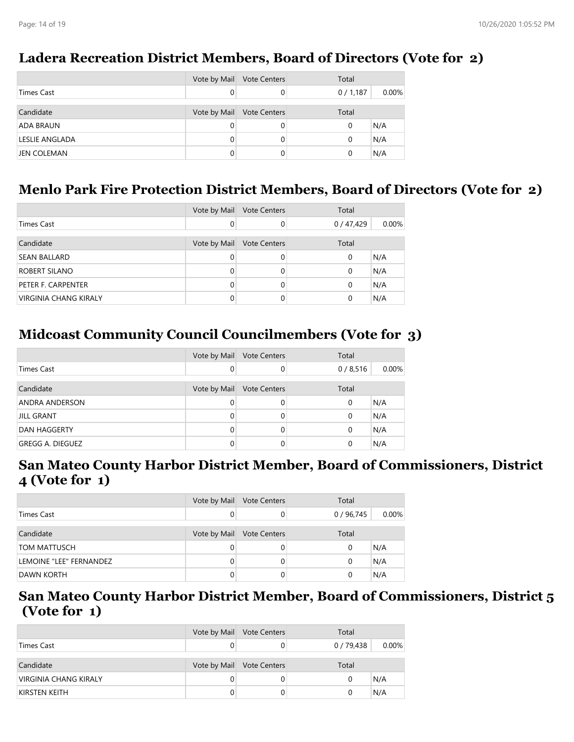#### **Candidate Candidate Vote by Mail Vote Centers** Total ADA BRAUN 0 0 0 N/A LESLIE ANGLADA 0 0 0 N/A JEN COLEMAN 0 0 0 N/A Vote by Mail Vote Centers **Total** Times Cast 0 0 0 / 1,187 0.00%

### **Ladera Recreation District Members, Board of Directors (Vote for 2)**

### **Menlo Park Fire Protection District Members, Board of Directors (Vote for 2)**

|                       | Vote by Mail | <b>Vote Centers</b> | Total    |       |
|-----------------------|--------------|---------------------|----------|-------|
| <b>Times Cast</b>     | $\Omega$     |                     | 0/47,429 | 0.00% |
| Candidate             | Vote by Mail | <b>Vote Centers</b> | Total    |       |
| <b>SEAN BALLARD</b>   | $\Omega$     |                     | 0        | N/A   |
| ROBERT SILANO         | $\Omega$     |                     | 0        | N/A   |
| PETER F. CARPENTER    | $\Omega$     |                     | 0        | N/A   |
| VIRGINIA CHANG KIRALY |              |                     | 0        | N/A   |

# **Midcoast Community Council Councilmembers (Vote for 3)**

|                         | Vote by Mail | <b>Vote Centers</b> | Total   |          |
|-------------------------|--------------|---------------------|---------|----------|
| Times Cast              | 0            |                     | 0/8,516 | $0.00\%$ |
| Candidate               | Vote by Mail | <b>Vote Centers</b> | Total   |          |
| <b>ANDRA ANDERSON</b>   | 0            |                     | 0       | N/A      |
| <b>JILL GRANT</b>       | 0            |                     | 0       | N/A      |
| DAN HAGGERTY            | 0            |                     | 0       | N/A      |
| <b>GREGG A. DIEGUEZ</b> | 0            |                     | 0       | N/A      |

#### **San Mateo County Harbor District Member, Board of Commissioners, District 4 (Vote for 1)**

|                         | Vote by Mail | <b>Vote Centers</b> | Total    |          |
|-------------------------|--------------|---------------------|----------|----------|
| Times Cast              |              |                     | 0/96,745 | $0.00\%$ |
| Candidate               | Vote by Mail | <b>Vote Centers</b> | Total    |          |
| <b>TOM MATTUSCH</b>     |              |                     | 0        | N/A      |
| LEMOINE "LEE" FERNANDEZ | 0            |                     | 0        | N/A      |
| <b>DAWN KORTH</b>       |              |                     | 0        | N/A      |

#### **San Mateo County Harbor District Member, Board of Commissioners, District 5 (Vote for 1)**

|                       | Vote by Mail | <b>Vote Centers</b> | Total      |          |
|-----------------------|--------------|---------------------|------------|----------|
| Times Cast            |              |                     | 0 / 79,438 | $0.00\%$ |
| Candidate             | Vote by Mail | <b>Vote Centers</b> | Total      |          |
| VIRGINIA CHANG KIRALY |              |                     |            | N/A      |
| KIRSTEN KEITH         |              |                     |            | N/A      |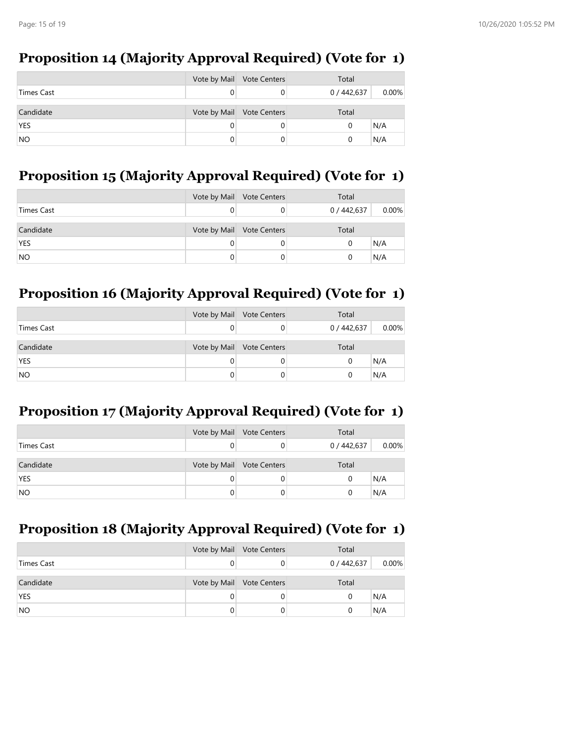# **Proposition 14 (Majority Approval Required) (Vote for 1)**

|            | Vote by Mail Vote Centers | Total       |          |
|------------|---------------------------|-------------|----------|
| Times Cast |                           | 0 / 442,637 | $0.00\%$ |
| Candidate  | Vote by Mail Vote Centers | Total       |          |
| <b>YES</b> |                           | 0           | N/A      |
| <b>NO</b>  |                           |             | N/A      |

## **Proposition 15 (Majority Approval Required) (Vote for 1)**

|            | Vote by Mail Vote Centers | Total     |          |
|------------|---------------------------|-----------|----------|
| Times Cast |                           | 0/442,637 | $0.00\%$ |
| Candidate  | Vote by Mail Vote Centers | Total     |          |
| <b>YES</b> |                           | 0         | \N/A     |
| <b>NO</b>  |                           | 0         | N/A      |

# **Proposition 16 (Majority Approval Required) (Vote for 1)**

|            | Vote by Mail Vote Centers | Total       |          |
|------------|---------------------------|-------------|----------|
| Times Cast |                           | 0 / 442,637 | $0.00\%$ |
| Candidate  | Vote by Mail Vote Centers | Total       |          |
| <b>YES</b> |                           | 0           | N/A      |
| <b>NO</b>  |                           | 0           | N/A      |

# **Proposition 17 (Majority Approval Required) (Vote for 1)**

|            | Vote by Mail Vote Centers | Total     |          |
|------------|---------------------------|-----------|----------|
| Times Cast |                           | 0/442,637 | $0.00\%$ |
|            |                           |           |          |
| Candidate  | Vote by Mail Vote Centers | Total     |          |
| <b>YES</b> |                           | U         | N/A      |
| <b>NO</b>  |                           |           | N/A      |

# **Proposition 18 (Majority Approval Required) (Vote for 1)**

|            | Vote by Mail Vote Centers | Total     |       |
|------------|---------------------------|-----------|-------|
| Times Cast |                           | 0/442,637 | 0.00% |
|            |                           |           |       |
| Candidate  | Vote by Mail Vote Centers | Total     |       |
| <b>YES</b> |                           | 0         | N/A   |
| <b>NO</b>  |                           |           | N/A   |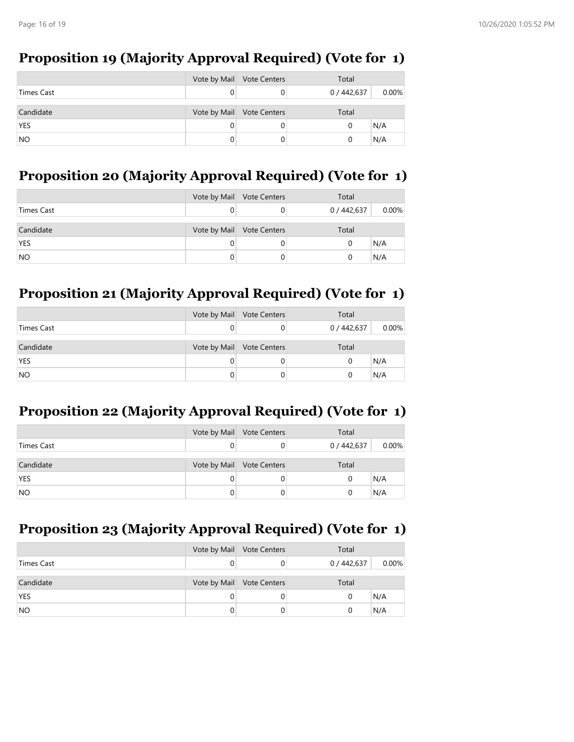# **Proposition 19 (Majority Approval Required) (Vote for 1)**

|            | Vote by Mail Vote Centers | Total       |          |
|------------|---------------------------|-------------|----------|
| Times Cast |                           | 0 / 442,637 | $0.00\%$ |
| Candidate  | Vote by Mail Vote Centers | Total       |          |
| <b>YES</b> |                           | 0           | N/A      |
| <b>NO</b>  |                           | 0           | N/A      |

# **Proposition 20 (Majority Approval Required) (Vote for 1)**

|            | Vote by Mail Vote Centers | Total     |          |
|------------|---------------------------|-----------|----------|
| Times Cast |                           | 0/442,637 | $0.00\%$ |
| Candidate  | Vote by Mail Vote Centers | Total     |          |
| <b>YES</b> |                           | 0         | \N/A     |
| <b>NO</b>  |                           | 0         | N/A      |

# **Proposition 21 (Majority Approval Required) (Vote for 1)**

|            |   | Vote by Mail Vote Centers | Total       |          |
|------------|---|---------------------------|-------------|----------|
| Times Cast |   |                           | 0 / 442,637 | $0.00\%$ |
| Candidate  |   | Vote by Mail Vote Centers | Total       |          |
| <b>YES</b> |   |                           |             | N/A      |
| <b>NO</b>  | 0 |                           |             | N/A      |

# **Proposition 22 (Majority Approval Required) (Vote for 1)**

|            | Vote by Mail Vote Centers | Total     |          |
|------------|---------------------------|-----------|----------|
| Times Cast |                           | 0/442,637 | $0.00\%$ |
|            |                           |           |          |
| Candidate  | Vote by Mail Vote Centers | Total     |          |
| <b>YES</b> |                           | U         | N/A      |
| <b>NO</b>  |                           |           | N/A      |

# **Proposition 23 (Majority Approval Required) (Vote for 1)**

|            | Vote by Mail Vote Centers | Total       |       |
|------------|---------------------------|-------------|-------|
| Times Cast |                           | 0 / 442,637 | 0.00% |
|            |                           |             |       |
| Candidate  | Vote by Mail Vote Centers | Total       |       |
| <b>YES</b> |                           | 0           | N/A   |
| <b>NO</b>  |                           |             | N/A   |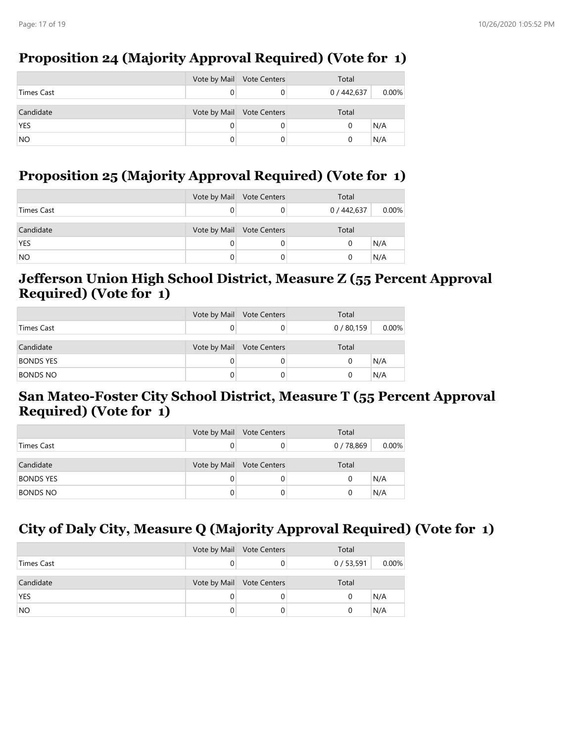## **Proposition 24 (Majority Approval Required) (Vote for 1)**

|            | Vote by Mail Vote Centers | Total     |       |
|------------|---------------------------|-----------|-------|
| Times Cast |                           | 0/442,637 | 0.00% |
| Candidate  | Vote by Mail Vote Centers | Total     |       |
| <b>YES</b> |                           |           | N/A   |
| <b>NO</b>  |                           |           | N/A   |

### **Proposition 25 (Majority Approval Required) (Vote for 1)**

|            | Vote by Mail Vote Centers | Total     |       |
|------------|---------------------------|-----------|-------|
| Times Cast |                           | 0/442,637 | 0.00% |
| Candidate  | Vote by Mail Vote Centers | Total     |       |
| <b>YES</b> |                           | 0         | N/A   |
| <b>NO</b>  |                           |           | N/A   |

#### **Jefferson Union High School District, Measure Z (55 Percent Approval Required) (Vote for 1)**

|                  | Vote by Mail Vote Centers | Total    |          |
|------------------|---------------------------|----------|----------|
| Times Cast       |                           | 0/80,159 | $0.00\%$ |
| Candidate        | Vote by Mail Vote Centers | Total    |          |
| <b>BONDS YES</b> |                           | 0        | N/A      |
| <b>BONDS NO</b>  |                           | 0        | N/A      |

#### **San Mateo-Foster City School District, Measure T (55 Percent Approval Required) (Vote for 1)**

|                  |   | Vote by Mail Vote Centers | Total      |          |
|------------------|---|---------------------------|------------|----------|
| Times Cast       |   |                           | 0 / 78,869 | $0.00\%$ |
| Candidate        |   | Vote by Mail Vote Centers | Total      |          |
| <b>BONDS YES</b> |   |                           | N/A        |          |
| <b>BONDS NO</b>  | 0 |                           | N/A        |          |

# **City of Daly City, Measure Q (Majority Approval Required) (Vote for 1)**

|            | Vote by Mail Vote Centers | Total    |          |
|------------|---------------------------|----------|----------|
| Times Cast |                           | 0/53,591 | $0.00\%$ |
|            |                           |          |          |
| Candidate  | Vote by Mail Vote Centers | Total    |          |
| <b>YES</b> |                           | O        | N/A      |
| <b>NO</b>  |                           |          | N/A      |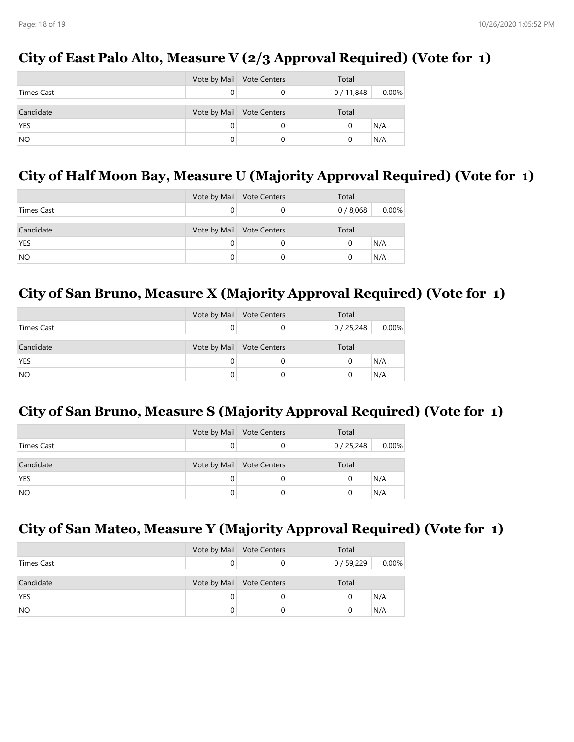# **City of East Palo Alto, Measure V (2/3 Approval Required) (Vote for 1)**

|            | Vote by Mail Vote Centers | Total    |          |
|------------|---------------------------|----------|----------|
| Times Cast |                           | 0/11,848 | $0.00\%$ |
| Candidate  | Vote by Mail Vote Centers | Total    |          |
| <b>YES</b> |                           |          | N/A      |
| <b>NO</b>  |                           |          | N/A      |

# **City of Half Moon Bay, Measure U (Majority Approval Required) (Vote for 1)**

|            | Vote by Mail Vote Centers | Total   |       |
|------------|---------------------------|---------|-------|
| Times Cast |                           | 0/8,068 | 0.00% |
| Candidate  | Vote by Mail Vote Centers | Total   |       |
| <b>YES</b> |                           |         | N/A   |
| <b>NO</b>  |                           |         | N/A   |

# **City of San Bruno, Measure X (Majority Approval Required) (Vote for 1)**

|            | Vote by Mail Vote Centers | Total    |          |
|------------|---------------------------|----------|----------|
| Times Cast |                           | 0/25,248 | $0.00\%$ |
| Candidate  | Vote by Mail Vote Centers | Total    |          |
| <b>YES</b> |                           |          | N/A      |
| <b>NO</b>  |                           |          | N/A      |

# **City of San Bruno, Measure S (Majority Approval Required) (Vote for 1)**

|            | Vote by Mail Vote Centers | Total    |          |
|------------|---------------------------|----------|----------|
| Times Cast |                           | 0/25,248 | $0.00\%$ |
| Candidate  | Vote by Mail Vote Centers | Total    |          |
| <b>YES</b> |                           | N/A      |          |
| <b>NO</b>  |                           | N/A      |          |

# **City of San Mateo, Measure Y (Majority Approval Required) (Vote for 1)**

|            | Vote by Mail Vote Centers | Total    |          |
|------------|---------------------------|----------|----------|
| Times Cast |                           | 0/59,229 | $0.00\%$ |
| Candidate  | Vote by Mail Vote Centers | Total    |          |
| <b>YES</b> |                           | 0        | N/A      |
| <b>NO</b>  |                           |          | N/A      |